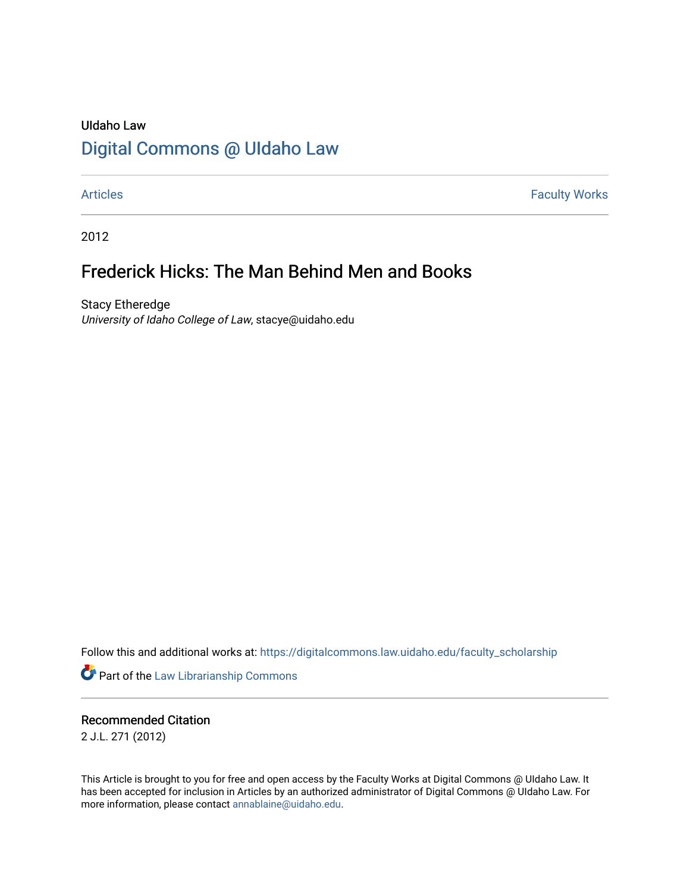## UIdaho Law [Digital Commons @ UIdaho Law](https://digitalcommons.law.uidaho.edu/)

[Articles](https://digitalcommons.law.uidaho.edu/faculty_scholarship) **Faculty Works** 

2012

# Frederick Hicks: The Man Behind Men and Books

Stacy Etheredge University of Idaho College of Law, stacye@uidaho.edu

Follow this and additional works at: [https://digitalcommons.law.uidaho.edu/faculty\\_scholarship](https://digitalcommons.law.uidaho.edu/faculty_scholarship?utm_source=digitalcommons.law.uidaho.edu%2Ffaculty_scholarship%2F236&utm_medium=PDF&utm_campaign=PDFCoverPages) 

**Part of the [Law Librarianship Commons](https://network.bepress.com/hgg/discipline/1393?utm_source=digitalcommons.law.uidaho.edu%2Ffaculty_scholarship%2F236&utm_medium=PDF&utm_campaign=PDFCoverPages)** 

Recommended Citation 2 J.L. 271 (2012)

This Article is brought to you for free and open access by the Faculty Works at Digital Commons @ UIdaho Law. It has been accepted for inclusion in Articles by an authorized administrator of Digital Commons @ UIdaho Law. For more information, please contact [annablaine@uidaho.edu.](mailto:annablaine@uidaho.edu)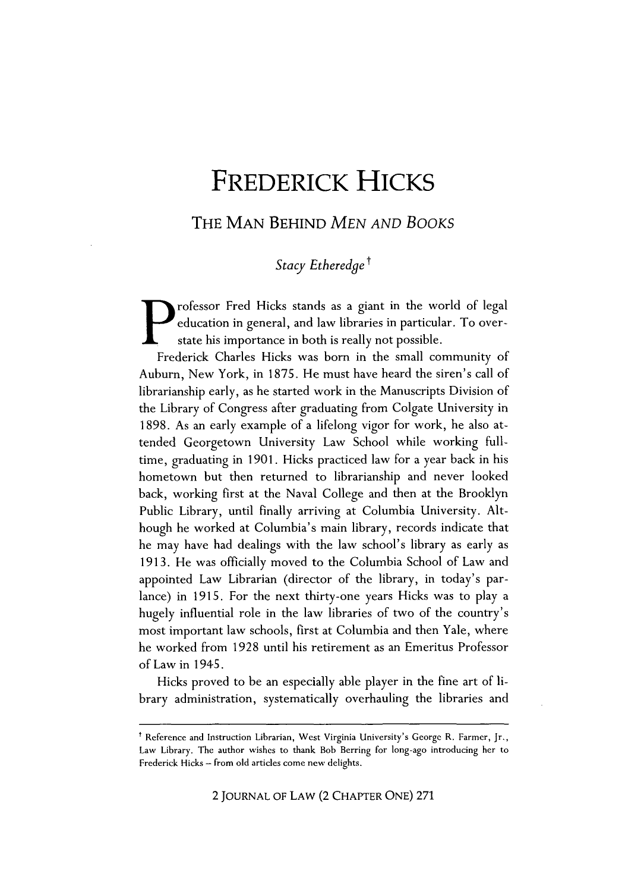# **FREDERICK HICKS**

THE **MAN** BEHIND *MEN AND BOOKS*

Stacy Etheredge<sup>†</sup>

rofessor Fred Hicks stands as a giant in the world of legal education in general, and law libraries in particular. To overstate his importance in both is really not possible.

Frederick Charles Hicks was born in the small community of Auburn, New York, in **1875.** He must have heard the siren's call of librarianship early, as he started work in the Manuscripts Division of the Library of Congress after graduating from Colgate University in **1898.** As an early example of a lifelong vigor for work, he also attended Georgetown University Law School while working fulltime, graduating in **1901.** Hicks practiced law for a year back in his hometown but then returned to librarianship and never looked back, working first at the Naval College and then at the Brooklyn Public Library, until finally arriving at Columbia University. Although he worked at Columbia's main library, records indicate that he may have had dealings with the law school's library as early as **1913.** He was officially moved to the Columbia School of Law and appointed Law Librarian (director of the library, in today's parlance) in **1915.** For the next thirty-one years Hicks was to play a hugely influential role in the law libraries of two of the country's most important law schools, first at Columbia and then Yale, where he worked from **1928** until his retirement as an Emeritus Professor of Law in 1945.

Hicks proved to be an especially able player in the fine art of library administration, systematically overhauling the libraries and

2 **JOURNAL** OF LAW (2 CHAPTER **ONE) 271**

t Reference and Instruction Librarian, West Virginia University's George R. Farmer, Jr., Law Library. The author wishes to thank Bob Berring for long-ago introducing her to Frederick Hicks **-** from old articles come new delights.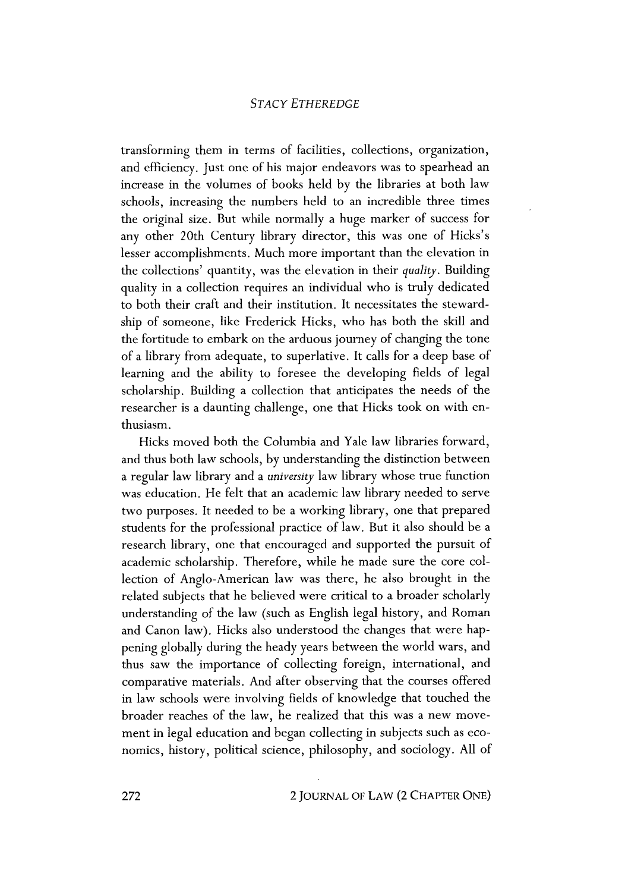### *STACY ETHEREDGE*

transforming them in terms of facilities, collections, organization, and efficiency. Just one of his major endeavors was to spearhead an increase in the volumes of books held **by** the libraries at both law schools, increasing the numbers held to an incredible three times the original size. But while normally a huge marker of success for any other 20th Century library director, this was one of Hicks's lesser accomplishments. Much more important than the elevation in the collections' quantity, was the elevation in their *quality.* Building quality in a collection requires an individual who is truly dedicated to both their craft and their institution. It necessitates the stewardship of someone, like Frederick Hicks, who has both the skill and the fortitude to embark on the arduous journey of changing the tone of a library from adequate, to superlative. It calls for a deep base of learning and the ability to foresee the developing fields of legal scholarship. Building a collection that anticipates the needs of the researcher is a daunting challenge, one that Hicks took on with enthusiasm.

Hicks moved both the Columbia and Yale law libraries forward, and thus both law schools, **by** understanding the distinction between a regular law library and a *university* law library whose true function was education. He felt that an academic law library needed to serve two purposes. It needed to be a working library, one that prepared students for the professional practice of law. But it also should be a research library, one that encouraged and supported the pursuit of academic scholarship. Therefore, while he made sure the core collection of Anglo-American law was there, he also brought in the related subjects that he believed were critical to a broader scholarly understanding of the law (such as English legal history, and Roman and Canon law). Hicks also understood the changes that were happening globally during the heady years between the world wars, and thus saw the importance of collecting foreign, international, and comparative materials. And after observing that the courses offered in law schools were involving fields of knowledge that touched the broader reaches of the law, he realized that this was a new movement in legal education and began collecting in subjects such as economics, history, political science, philosophy, and sociology. **All** of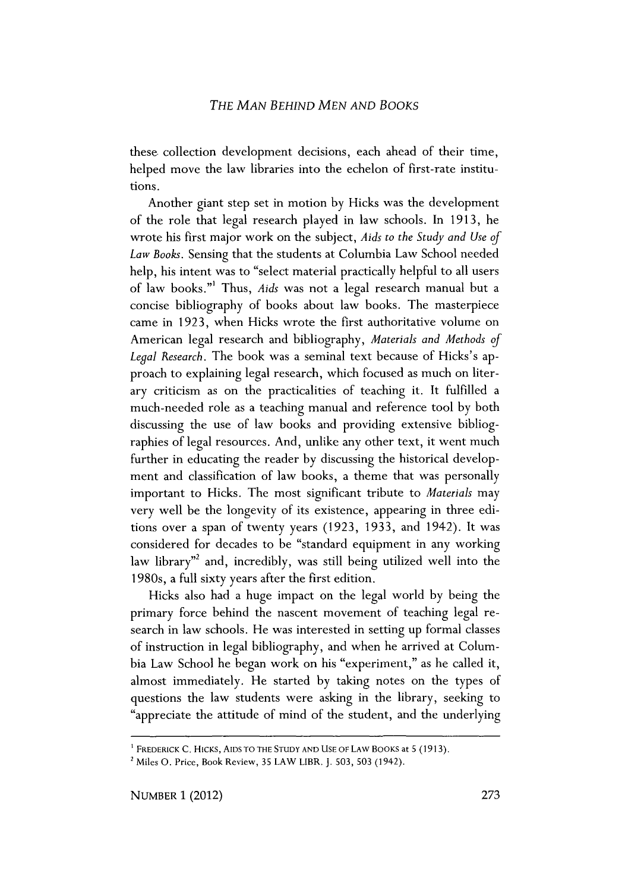#### *THE MAN BEHIND MEN AND BOOKS*

these collection development decisions, each ahead of their time, helped move the law libraries into the echelon of first-rate institutions.

Another giant step set in motion **by** Hicks was the development of the role that legal research played in law schools. In **1913,** he wrote his first major work on the subject, *Aids to the Study and Use of Law Books.* Sensing that the students at Columbia Law School needed help, his intent was to "select material practically helpful to all users of law books."' Thus, *Aids* was not a legal research manual but a concise bibliography of books about law books. The masterpiece came in **1923,** when Hicks wrote the first authoritative volume on American legal research and bibliography, *Materials and Methods of Legal Research.* The book was a seminal text because of Hicks's approach to explaining legal research, which focused as much on literary criticism as on the practicalities of teaching it. It fulfilled a much-needed role as a teaching manual and reference tool **by** both discussing the use of law books and providing extensive bibliographies of legal resources. And, unlike any other text, it went much further in educating the reader **by** discussing the historical development and classification of law books, a theme that was personally important to Hicks. The most significant tribute to *Materials* may very well be the longevity of its existence, appearing in three editions over a span of twenty years **(1923, 1933,** and 1942). It was considered for decades to be "standard equipment in any working law library<sup>"</sup> and, incredibly, was still being utilized well into the 1980s, a full sixty years after the first edition.

Hicks also had a huge impact on the legal world **by** being the primary force behind the nascent movement of teaching legal research in law schools. He was interested in setting up formal classes of instruction in legal bibliography, and when he arrived at Columbia Law School he began work on his "experiment," as he called it, almost immediately. He started **by** taking notes on the types of questions the law students were asking in the library, seeking to "appreciate the attitude of mind of the student, and the underlying

FREDERICK **C.** HICKs, **AIDS** TO THE **STUDY AND USE** OF **LAW** BOOKS at **5 (1913).**

Miles **0.** Price, Book Review, **35** LAW LIBR. **J. 503, 503** (1942).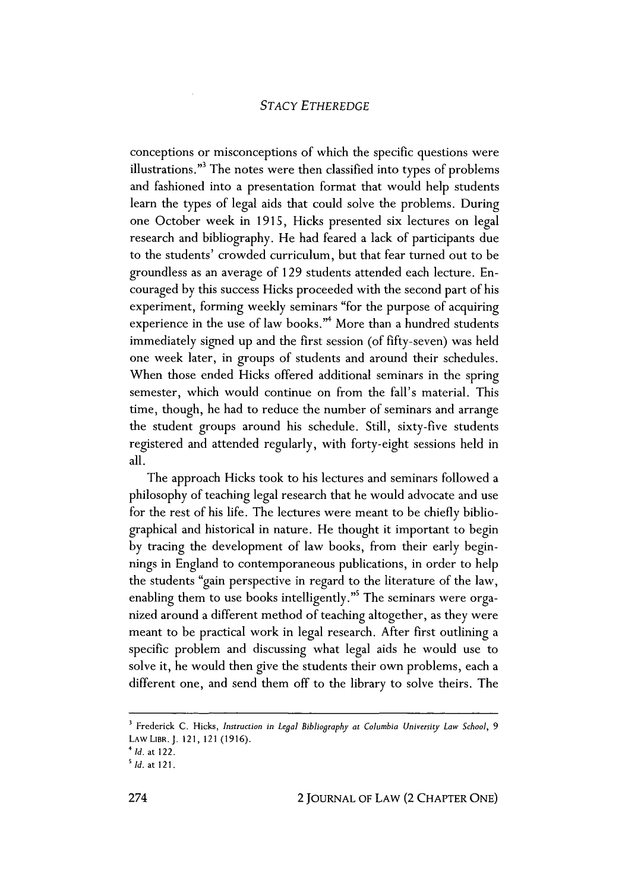#### *STACY ETHEREDGE*

conceptions or misconceptions of which the specific questions were illustrations."<sup>3</sup> The notes were then classified into types of problems and fashioned into a presentation format that would help students learn the types of legal aids that could solve the problems. During one October week in **1915,** Hicks presented six lectures on legal research and bibliography. He had feared a lack of participants due to the students' crowded curriculum, but that fear turned out to be groundless as an average of **129** students attended each lecture. Encouraged **by** this success Hicks proceeded with the second part of his experiment, forming weekly seminars "for the purpose of acquiring experience in the use of law books."<sup>4</sup> More than a hundred students immediately signed up and the first session (of fifty-seven) was held one week later, in groups of students and around their schedules. When those ended Hicks offered additional seminars in the spring semester, which would continue on from the fall's material. This time, though, he had to reduce the number of seminars and arrange the student groups around his schedule. Still, sixty-five students registered and attended regularly, with forty-eight sessions held in all.

The approach Hicks took to his lectures and seminars followed a philosophy of teaching legal research that he would advocate and use for the rest of his life. The lectures were meant to be chiefly bibliographical and historical in nature. He thought it important to begin **by** tracing the development of law books, from their early beginnings in England to contemporaneous publications, in order to help the students "gain perspective in regard to the literature of the law, enabling them to use books intelligently."<sup>5</sup> The seminars were organized around a different method of teaching altogether, as they were meant to be practical work in legal research. After first outlining a specific problem and discussing what legal aids he would use to solve it, he would then give the students their own problems, each a different one, and send them off to the library to solve theirs. The

**<sup>&#</sup>x27;** Frederick **C.** Hicks, *Instruction in Legal Bibliography at Columbia University Law School, 9* LAw LIBR.J. 121, 121 **(1916).**

*<sup>4</sup>Id. at* 122.

s *Id. at* **121.**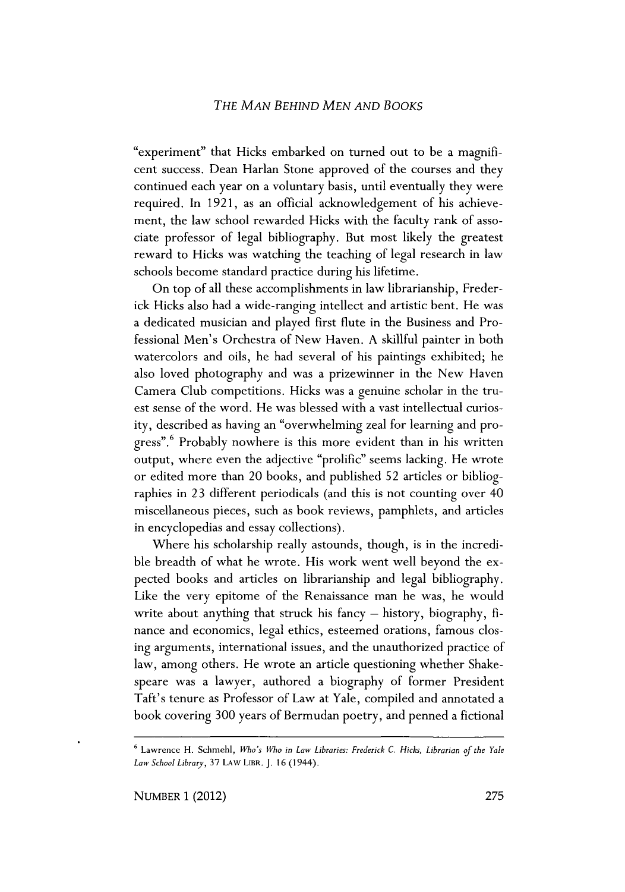#### *THE MAN BEHIND MEN AND BOOKS*

"experiment" that Hicks embarked on turned out to be a magnificent success. Dean Harlan Stone approved of the courses and they continued each year on a voluntary basis, until eventually they were required. In **1921,** as an official acknowledgement of his achievement, the law school rewarded Hicks with the faculty rank of associate professor of legal bibliography. But most likely the greatest reward to Hicks was watching the teaching of legal research in law schools become standard practice during his lifetime.

On top of all these accomplishments in law librarianship, Frederick Hicks also had a wide-ranging intellect and artistic bent. He was a dedicated musician and played first flute in the Business and Professional Men's Orchestra of New Haven. **A** skillful painter in both watercolors and oils, he had several of his paintings exhibited; he also loved photography and was a prizewinner in the New Haven Camera Club competitions. Hicks was a genuine scholar in the truest sense of the word. He was blessed with a vast intellectual curiosity, described as having an "overwhelming zeal for learning and progress".<sup>6</sup> Probably nowhere is this more evident than in his written output, where even the adjective "prolific" seems lacking. He wrote or edited more than 20 books, and published **52** articles or bibliographies in **23** different periodicals (and this is not counting over 40 miscellaneous pieces, such as book reviews, pamphlets, and articles in encyclopedias and essay collections).

Where his scholarship really astounds, though, is in the incredible breadth of what he wrote. His work went well beyond the expected books and articles on librarianship and legal bibliography. Like the very epitome of the Renaissance man he was, he would write about anything that struck his fancy **-** history, biography, finance and economics, legal ethics, esteemed orations, famous closing arguments, international issues, and the unauthorized practice of law, among others. He wrote an article questioning whether Shakespeare was a lawyer, authored a biography of former President Taft's tenure as Professor of Law at Yale, compiled and annotated a book covering **300** years of Bermudan poetry, and penned a fictional

**<sup>&#</sup>x27;** Lawrence H. Schmehl, *Who's Who in Law Libraries: Frederick C. Hicks, Librarian of the Yale Law School Library,* **37 LAW LBR. J. 16** (1944).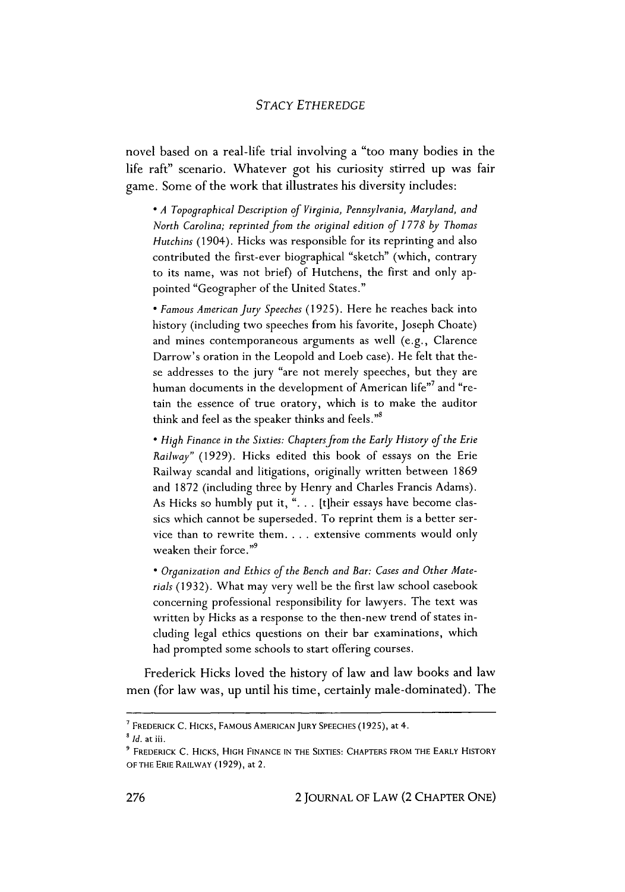#### *STACY ETHEREDGE*

novel based on a real-life trial involving a "too many bodies in the life raft" scenario. Whatever got his curiosity stirred up was fair game. Some of the work that illustrates his diversity includes:

\* *A Topographical Description of Virginia, Pennsylvania, Maryland, and North Carolina; reprinted from the original edition of 1778 by Thomas Hutchins* (1904). Hicks was responsible for its reprinting and also contributed the first-ever biographical "sketch" (which, contrary to its name, was not brief) of Hutchens, the first and only appointed "Geographer of the United States."

\* *Famous American jury Speeches* **(1925).** Here he reaches back into history (including two speeches from his favorite, Joseph Choate) and mines contemporaneous arguments as well (e.g., Clarence Darrow's oration in the Leopold and Loeb case). He felt that these addresses to the jury "are not merely speeches, but they are human documents in the development of American life"<sup>7</sup> and "retain the essence of true oratory, which is to make the auditor think and feel as the speaker thinks and feels."

*\* High Finance in the Sixties: Chapters from the Early History of the Erie Railway"* **(1929).** Hicks edited this book of essays on the Erie Railway scandal and litigations, originally written between **1869** and **1872** (including three **by** Henry and Charles Francis Adams). As Hicks so humbly put it, **". . .** [tiheir essays have become classics which cannot be superseded. To reprint them is a better service than to rewrite them. . . **.** extensive comments would only weaken their force."<sup>9</sup>

\* *Organization and Ethics of the Bench and Bar: Cases and Other Materials* **(1932).** What may very well be the first law school casebook concerning professional responsibility for lawyers. The text was written **by** Hicks as a response to the then-new trend of states including legal ethics questions on their bar examinations, which had prompted some schools to start offering courses.

Frederick Hicks loved the history of law and law books and law men (for law was, up until his time, certainly male-dominated). The

**FREDERICK C. HICKS, FAMOUS AMERICAN JURY SPEECHES (1925),** *at 4.*

*Id. at* iii.

**FREDERICK C. HICKS, HIGH FINANCE IN THE SIXTIES: CHAPTERS FROM THE EARLY HISTORY OF THE ERIE RAILWAY (1929),** *at* 2.